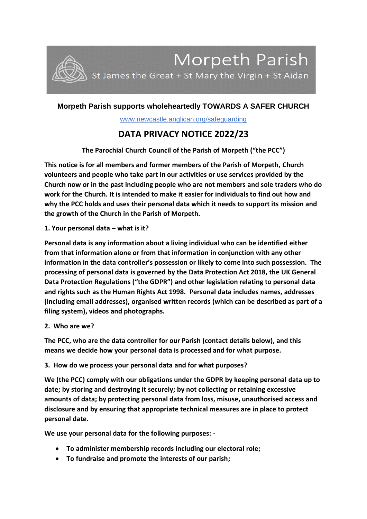

# **Morpeth Parish supports wholeheartedly TOWARDS A SAFER CHURCH**

www.newcastle.anglican.org/safeguarding

# **DATA PRIVACY NOTICE 2022/23**

**The Parochial Church Council of the Parish of Morpeth ("the PCC")**

**This notice is for all members and former members of the Parish of Morpeth, Church volunteers and people who take part in our activities or use services provided by the Church now or in the past including people who are not members and sole traders who do work for the Church. It is intended to make it easier for individuals to find out how and why the PCC holds and uses their personal data which it needs to support its mission and the growth of the Church in the Parish of Morpeth.**

**1. Your personal data – what is it?**

**Personal data is any information about a living individual who can be identified either from that information alone or from that information in conjunction with any other information in the data controller's possession or likely to come into such possession. The processing of personal data is governed by the Data Protection Act 2018, the UK General Data Protection Regulations ("the GDPR") and other legislation relating to personal data and rights such as the Human Rights Act 1998. Personal data includes names, addresses (including email addresses), organised written records (which can be described as part of a filing system), videos and photographs.**

**2. Who are we?**

**The PCC, who are the data controller for our Parish (contact details below), and this means we decide how your personal data is processed and for what purpose.**

### **3. How do we process your personal data and for what purposes?**

**We (the PCC) comply with our obligations under the GDPR by keeping personal data up to date; by storing and destroying it securely; by not collecting or retaining excessive amounts of data; by protecting personal data from loss, misuse, unauthorised access and disclosure and by ensuring that appropriate technical measures are in place to protect personal date.**

**We use your personal data for the following purposes: -**

- **To administer membership records including our electoral role;**
- **To fundraise and promote the interests of our parish;**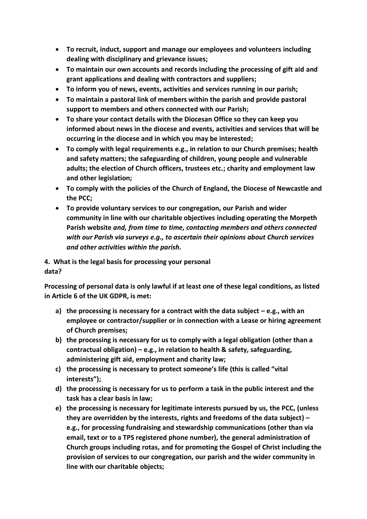- **To recruit, induct, support and manage our employees and volunteers including dealing with disciplinary and grievance issues;**
- **To maintain our own accounts and records including the processing of gift aid and grant applications and dealing with contractors and suppliers;**
- **To inform you of news, events, activities and services running in our parish;**
- **To maintain a pastoral link of members within the parish and provide pastoral support to members and others connected with our Parish;**
- **To share your contact details with the Diocesan Office so they can keep you informed about news in the diocese and events, activities and services that will be occurring in the diocese and in which you may be interested;**
- **To comply with legal requirements e.g., in relation to our Church premises; health and safety matters; the safeguarding of children, young people and vulnerable adults; the election of Church officers, trustees etc.; charity and employment law and other legislation;**
- **To comply with the policies of the Church of England, the Diocese of Newcastle and the PCC;**
- **To provide voluntary services to our congregation, our Parish and wider community in line with our charitable objectives including operating the Morpeth Parish website** *and, from time to time, contacting members and others connected with our Parish via surveys e.g., to ascertain their opinions about Church services and other activities within the parish.*

**4. What is the legal basis for processing your personal data?**

**Processing of personal data is only lawful if at least one of these legal conditions, as listed in Article 6 of the UK GDPR, is met:**

- **a) the processing is necessary for a contract with the data subject – e.g., with an employee or contractor/supplier or in connection with a Lease or hiring agreement of Church premises;**
- **b) the processing is necessary for us to comply with a legal obligation (other than a contractual obligation) – e.g., in relation to health & safety, safeguarding, administering gift aid, employment and charity law;**
- **c) the processing is necessary to protect someone's life (this is called "vital interests");**
- **d) the processing is necessary for us to perform a task in the public interest and the task has a clear basis in law;**
- **e) the processing is necessary for legitimate interests pursued by us, the PCC, (unless they are overridden by the interests, rights and freedoms of the data subject) – e.g., for processing fundraising and stewardship communications (other than via email, text or to a TPS registered phone number), the general administration of Church groups including rotas, and for promoting the Gospel of Christ including the provision of services to our congregation, our parish and the wider community in line with our charitable objects;**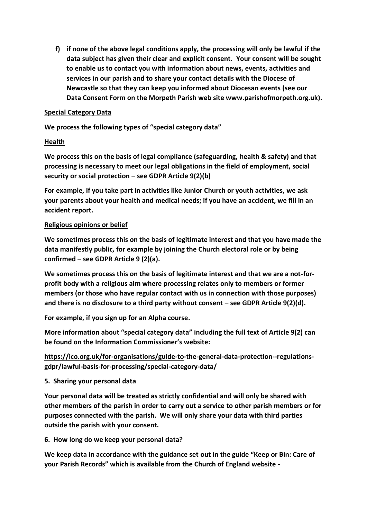**f) if none of the above legal conditions apply, the processing will only be lawful if the data subject has given their clear and explicit consent. Your consent will be sought to enable us to contact you with information about news, events, activities and services in our parish and to share your contact details with the Diocese of Newcastle so that they can keep you informed about Diocesan events (see our Data Consent Form on the Morpeth Parish web site www.parishofmorpeth.org.uk).** 

#### **Special Category Data**

**We process the following types of "special category data"**

#### **Health**

**We process this on the basis of legal compliance (safeguarding, health & safety) and that processing is necessary to meet our legal obligations in the field of employment, social security or social protection – see GDPR Article 9(2)(b)**

**For example, if you take part in activities like Junior Church or youth activities, we ask your parents about your health and medical needs; if you have an accident, we fill in an accident report.**

#### **Religious opinions or belief**

**We sometimes process this on the basis of legitimate interest and that you have made the data manifestly public, for example by joining the Church electoral role or by being confirmed – see GDPR Article 9 (2)(a).**

**We sometimes process this on the basis of legitimate interest and that we are a not-forprofit body with a religious aim where processing relates only to members or former members (or those who have regular contact with us in connection with those purposes) and there is no disclosure to a third party without consent – see GDPR Article 9(2)(d).**

**For example, if you sign up for an Alpha course.**

**More information about "special category data" including the full text of Article 9(2) can be found on the Information Commissioner's website:**

**[https://ico.org.uk/for-organisations/guide-to-](https://ico.org.uk/for-organisations/guide-to)the-general-data-protection--regulationsgdpr/lawful-basis-for-processing/special-category-data/**

### **5. Sharing your personal data**

**Your personal data will be treated as strictly confidential and will only be shared with other members of the parish in order to carry out a service to other parish members or for purposes connected with the parish. We will only share your data with third parties outside the parish with your consent.** 

### **6. How long do we keep your personal data?**

**We keep data in accordance with the guidance set out in the guide "Keep or Bin: Care of your Parish Records" which is available from the Church of England website -**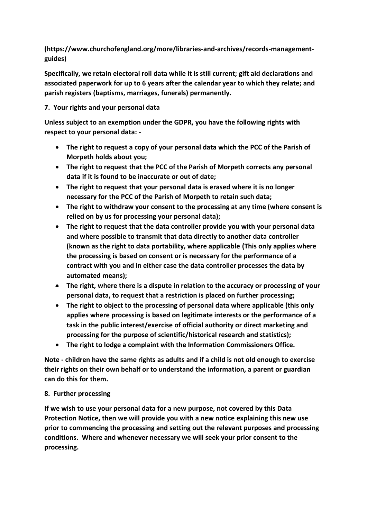**(https://www.churchofengland.org/more/libraries-and-archives/records-managementguides)** 

**Specifically, we retain electoral roll data while it is still current; gift aid declarations and associated paperwork for up to 6 years after the calendar year to which they relate; and parish registers (baptisms, marriages, funerals) permanently.**

# **7. Your rights and your personal data**

**Unless subject to an exemption under the GDPR, you have the following rights with respect to your personal data: -**

- **The right to request a copy of your personal data which the PCC of the Parish of Morpeth holds about you;**
- **The right to request that the PCC of the Parish of Morpeth corrects any personal data if it is found to be inaccurate or out of date;**
- **The right to request that your personal data is erased where it is no longer necessary for the PCC of the Parish of Morpeth to retain such data;**
- **The right to withdraw your consent to the processing at any time (where consent is relied on by us for processing your personal data);**
- **The right to request that the data controller provide you with your personal data and where possible to transmit that data directly to another data controller (known as the right to data portability, where applicable (This only applies where the processing is based on consent or is necessary for the performance of a contract with you and in either case the data controller processes the data by automated means);**
- **The right, where there is a dispute in relation to the accuracy or processing of your personal data, to request that a restriction is placed on further processing;**
- **The right to object to the processing of personal data where applicable (this only applies where processing is based on legitimate interests or the performance of a task in the public interest/exercise of official authority or direct marketing and processing for the purpose of scientific/historical research and statistics);**
- **The right to lodge a complaint with the Information Commissioners Office.**

**Note - children have the same rights as adults and if a child is not old enough to exercise their rights on their own behalf or to understand the information, a parent or guardian can do this for them.**

### **8. Further processing**

**If we wish to use your personal data for a new purpose, not covered by this Data Protection Notice, then we will provide you with a new notice explaining this new use prior to commencing the processing and setting out the relevant purposes and processing conditions. Where and whenever necessary we will seek your prior consent to the processing.**